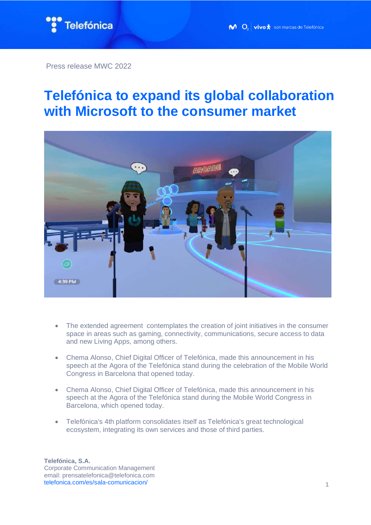

Press release MWC 2022

## **Telefónica to expand its global collaboration with Microsoft to the consumer market**



- The extended agreement contemplates the creation of joint initiatives in the consumer space in areas such as gaming, connectivity, communications, secure access to data and new Living Apps, among others.
- Chema Alonso, Chief Digital Officer of Telefónica, made this announcement in his speech at the Agora of the Telefónica stand during the celebration of the Mobile World Congress in Barcelona that opened today.
- Chema Alonso, Chief Digital Officer of Telefónica, made this announcement in his speech at the Agora of the Telefónica stand during the Mobile World Congress in Barcelona, which opened today.
- Telefónica's 4th platform consolidates itself as Telefónica's great technological ecosystem, integrating its own services and those of third parties.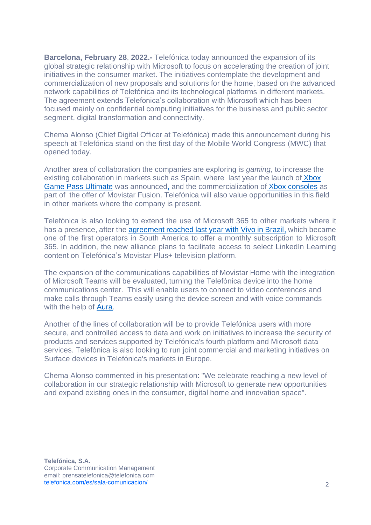**Barcelona, February 28**, **2022.-** Telefónica today announced the expansion of its global strategic relationship with Microsoft to focus on accelerating the creation of joint initiatives in the consumer market. The initiatives contemplate the development and commercialization of new proposals and solutions for the home, based on the advanced network capabilities of Telefónica and its technological platforms in different markets. The agreement extends Telefonica's collaboration with Microsoft which has been focused mainly on confidential computing initiatives for the business and public sector segment, digital transformation and connectivity.

Chema Alonso (Chief Digital Officer at Telefónica) made this announcement during his speech at Telefónica stand on the first day of the Mobile World Congress (MWC) that opened today.

Another area of collaboration the companies are exploring is *gaming*, to increase the existing collaboration in markets such as Spain, where last year the launch of [Xbox](https://www.telefonica.com/es/sala-comunicacion/movistar-se-adentra-en-la-industria-de-los-videojuegos-de-la-mano-de-xbox/)  [Game Pass Ultimate](https://www.telefonica.com/es/sala-comunicacion/movistar-se-adentra-en-la-industria-de-los-videojuegos-de-la-mano-de-xbox/) was announced, and the commercialization of [Xbox consoles](https://www.movistar.es/particulares/gaming/xbox-s-series) as part of the offer of Movistar Fusion. Telefónica will also value opportunities in this field in other markets where the company is present.

Telefónica is also looking to extend the use of Microsoft 365 to other markets where it has a presence, after the [agreement reached last year with Vivo in Brazil,](https://news.microsoft.com/pt-br/features/vivo-e-a-primeira-operadora-das-americas-a-oferecer-assinatura-mensal-do-microsoft-365-a-seus-clientes/) which became one of the first operators in South America to offer a monthly subscription to Microsoft 365. In addition, the new alliance plans to facilitate access to select LinkedIn Learning content on Telefónica's Movistar Plus+ television platform.

The expansion of the communications capabilities of Movistar Home with the integration of Microsoft Teams will be evaluated, turning the Telefónica device into the home communications center. This will enable users to connect to video conferences and make calls through Teams easily using the device screen and with voice commands with the help of **Aura.** 

Another of the lines of collaboration will be to provide Telefónica users with more secure, and controlled access to data and work on initiatives to increase the security of products and services supported by Telefónica's fourth platform and Microsoft data services. Telefónica is also looking to run joint commercial and marketing initiatives on Surface devices in Telefónica's markets in Europe.

Chema Alonso commented in his presentation: "We celebrate reaching a new level of collaboration in our strategic relationship with Microsoft to generate new opportunities and expand existing ones in the consumer, digital home and innovation space".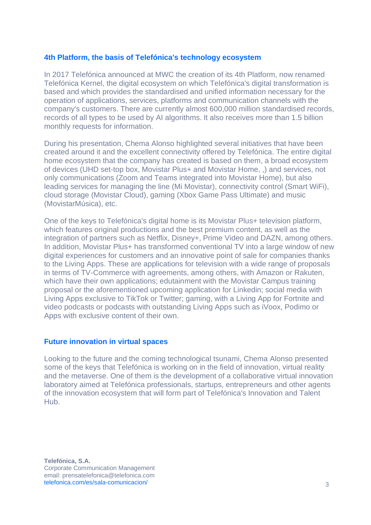## **4th Platform, the basis of Telefónica's technology ecosystem**

In 2017 Telefónica announced at MWC the creation of its 4th Platform, now renamed Telefónica Kernel, the digital ecosystem on which Telefónica's digital transformation is based and which provides the standardised and unified information necessary for the operation of applications, services, platforms and communication channels with the company's customers. There are currently almost 600,000 million standardised records, records of all types to be used by AI algorithms. It also receives more than 1.5 billion monthly requests for information.

During his presentation, Chema Alonso highlighted several initiatives that have been created around it and the excellent connectivity offered by Telefónica. The entire digital home ecosystem that the company has created is based on them, a broad ecosystem of devices (UHD set-top box, Movistar Plus+ and Movistar Home, ,) and services, not only communications (Zoom and Teams integrated into Movistar Home), but also leading services for managing the line (Mi Movistar), connectivity control (Smart WiFi), cloud storage (Movistar Cloud), gaming (Xbox Game Pass Ultimate) and music (MovistarMúsica), etc.

One of the keys to Telefónica's digital home is its Movistar Plus+ television platform, which features original productions and the best premium content, as well as the integration of partners such as Netflix, Disney+, Prime Video and DAZN, among others. In addition, Movistar Plus+ has transformed conventional TV into a large window of new digital experiences for customers and an innovative point of sale for companies thanks to the Living Apps. These are applications for television with a wide range of proposals in terms of TV-Commerce with agreements, among others, with Amazon or Rakuten, which have their own applications; edutainment with the Movistar Campus training proposal or the aforementioned upcoming application for Linkedin; social media with Living Apps exclusive to TikTok or Twitter; gaming, with a Living App for Fortnite and video podcasts or podcasts with outstanding Living Apps such as iVoox, Podimo or Apps with exclusive content of their own.

## **Future innovation in virtual spaces**

Looking to the future and the coming technological tsunami, Chema Alonso presented some of the keys that Telefónica is working on in the field of innovation, virtual reality and the metaverse. One of them is the development of a collaborative virtual innovation laboratory aimed at Telefónica professionals, startups, entrepreneurs and other agents of the innovation ecosystem that will form part of Telefónica's Innovation and Talent Hub.